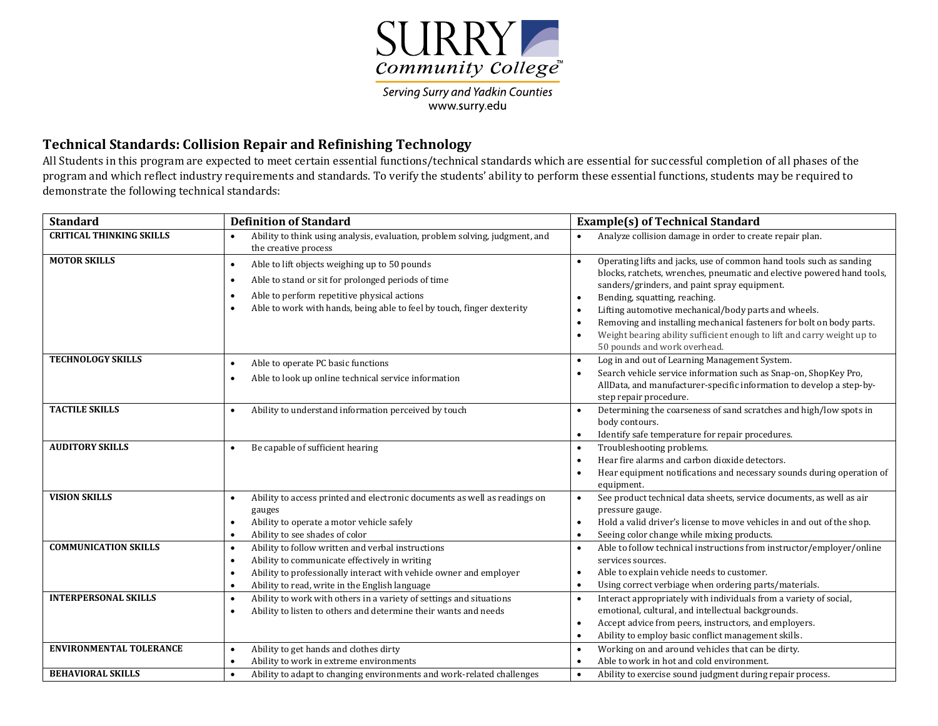

Serving Surry and Yadkin Counties www.surry.edu

## **Technical Standards: Collision Repair and Refinishing Technology**

All Students in this program are expected to meet certain essential functions/technical standards which are essential for successful completion of all phases of the program and which reflect industry requirements and standards. To verify the students' ability to perform these essential functions, students may be required to demonstrate the following technical standards:

| <b>Standard</b>                 | <b>Definition of Standard</b>                                                                                                                                                                                                                                                    | <b>Example(s) of Technical Standard</b>                                                                                                                                                                                                                                                                                                                                                                                                                                                                          |
|---------------------------------|----------------------------------------------------------------------------------------------------------------------------------------------------------------------------------------------------------------------------------------------------------------------------------|------------------------------------------------------------------------------------------------------------------------------------------------------------------------------------------------------------------------------------------------------------------------------------------------------------------------------------------------------------------------------------------------------------------------------------------------------------------------------------------------------------------|
| <b>CRITICAL THINKING SKILLS</b> | Ability to think using analysis, evaluation, problem solving, judgment, and<br>$\bullet$<br>the creative process                                                                                                                                                                 | Analyze collision damage in order to create repair plan.                                                                                                                                                                                                                                                                                                                                                                                                                                                         |
| <b>MOTOR SKILLS</b>             | Able to lift objects weighing up to 50 pounds<br>$\bullet$<br>Able to stand or sit for prolonged periods of time<br>$\bullet$<br>Able to perform repetitive physical actions<br>$\bullet$<br>Able to work with hands, being able to feel by touch, finger dexterity<br>$\bullet$ | Operating lifts and jacks, use of common hand tools such as sanding<br>$\bullet$<br>blocks, ratchets, wrenches, pneumatic and elective powered hand tools,<br>sanders/grinders, and paint spray equipment.<br>Bending, squatting, reaching.<br>Lifting automotive mechanical/body parts and wheels.<br>$\bullet$<br>Removing and installing mechanical fasteners for bolt on body parts.<br>Weight bearing ability sufficient enough to lift and carry weight up to<br>$\bullet$<br>50 pounds and work overhead. |
| <b>TECHNOLOGY SKILLS</b>        | Able to operate PC basic functions<br>$\bullet$<br>Able to look up online technical service information<br>$\bullet$                                                                                                                                                             | Log in and out of Learning Management System.<br>Search vehicle service information such as Snap-on, ShopKey Pro,<br>AllData, and manufacturer-specific information to develop a step-by-<br>step repair procedure.                                                                                                                                                                                                                                                                                              |
| <b>TACTILE SKILLS</b>           | Ability to understand information perceived by touch<br>$\bullet$                                                                                                                                                                                                                | Determining the coarseness of sand scratches and high/low spots in<br>body contours.<br>Identify safe temperature for repair procedures.<br>$\bullet$                                                                                                                                                                                                                                                                                                                                                            |
| <b>AUDITORY SKILLS</b>          | Be capable of sufficient hearing<br>$\bullet$                                                                                                                                                                                                                                    | Troubleshooting problems.<br>$\bullet$<br>Hear fire alarms and carbon dioxide detectors.<br>$\bullet$<br>Hear equipment notifications and necessary sounds during operation of<br>$\bullet$<br>equipment.                                                                                                                                                                                                                                                                                                        |
| <b>VISION SKILLS</b>            | Ability to access printed and electronic documents as well as readings on<br>$\bullet$<br>gauges<br>Ability to operate a motor vehicle safely<br>$\bullet$<br>Ability to see shades of color<br>$\bullet$                                                                        | See product technical data sheets, service documents, as well as air<br>$\bullet$<br>pressure gauge.<br>Hold a valid driver's license to move vehicles in and out of the shop.<br>$\bullet$<br>Seeing color change while mixing products.                                                                                                                                                                                                                                                                        |
| <b>COMMUNICATION SKILLS</b>     | Ability to follow written and verbal instructions<br>$\bullet$<br>Ability to communicate effectively in writing<br>$\bullet$<br>Ability to professionally interact with vehicle owner and employer<br>$\bullet$<br>Ability to read, write in the English language<br>$\bullet$   | Able to follow technical instructions from instructor/employer/online<br>$\bullet$<br>services sources.<br>Able to explain vehicle needs to customer.<br>$\bullet$<br>Using correct verbiage when ordering parts/materials.<br>$\bullet$                                                                                                                                                                                                                                                                         |
| <b>INTERPERSONAL SKILLS</b>     | Ability to work with others in a variety of settings and situations<br>$\bullet$<br>Ability to listen to others and determine their wants and needs<br>$\bullet$                                                                                                                 | Interact appropriately with individuals from a variety of social,<br>$\bullet$<br>emotional, cultural, and intellectual backgrounds.<br>Accept advice from peers, instructors, and employers.<br>Ability to employ basic conflict management skills.<br>$\bullet$                                                                                                                                                                                                                                                |
| <b>ENVIRONMENTAL TOLERANCE</b>  | Ability to get hands and clothes dirty<br>$\bullet$<br>Ability to work in extreme environments<br>$\bullet$                                                                                                                                                                      | Working on and around vehicles that can be dirty.<br>$\bullet$<br>Able to work in hot and cold environment.                                                                                                                                                                                                                                                                                                                                                                                                      |
| <b>BEHAVIORAL SKILLS</b>        | Ability to adapt to changing environments and work-related challenges<br>$\bullet$                                                                                                                                                                                               | Ability to exercise sound judgment during repair process.                                                                                                                                                                                                                                                                                                                                                                                                                                                        |